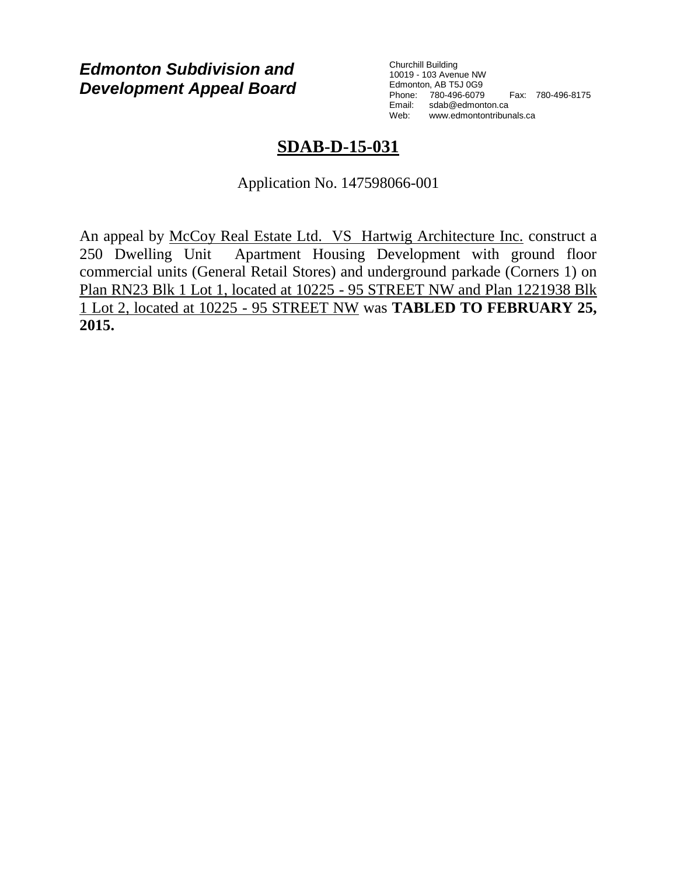# *Edmonton Subdivision and Development Appeal Board*

Churchill Building 10019 - 103 Avenue NW Edmonton, AB T5J 0G9 Phone: 780-496-6079 Fax: 780-496-8175 Email: sdab@edmonton.ca Web: www.edmontontribunals.ca

# **SDAB-D-15-031**

Application No. 147598066-001

An appeal by McCoy Real Estate Ltd. VS Hartwig Architecture Inc. construct a 250 Dwelling Unit Apartment Housing Development with ground floor commercial units (General Retail Stores) and underground parkade (Corners 1) on Plan RN23 Blk 1 Lot 1, located at 10225 - 95 STREET NW and Plan 1221938 Blk 1 Lot 2, located at 10225 - 95 STREET NW was **TABLED TO FEBRUARY 25, 2015.**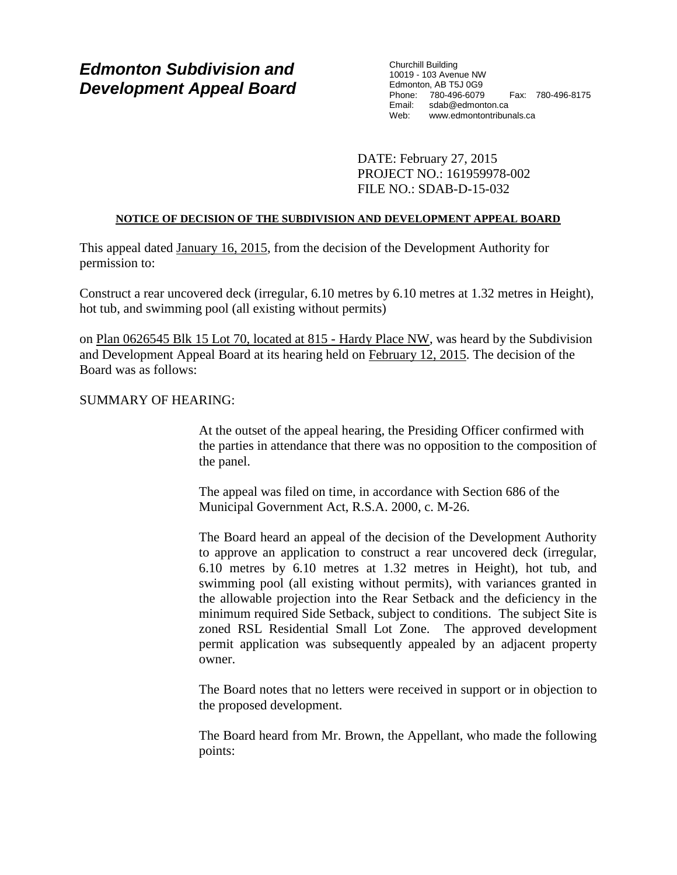# *Edmonton Subdivision and Development Appeal Board*

Churchill Building 10019 - 103 Avenue NW Edmonton, AB T5J 0G9 Phone: 780-496-6079 Fax: 780-496-8175 Email: sdab@edmonton.ca<br>Web: www.edmontontribur Web: www.edmontontribunals.ca

DATE: February 27, 2015 PROJECT NO.: 161959978-002 FILE NO.: SDAB-D-15-032

## **NOTICE OF DECISION OF THE SUBDIVISION AND DEVELOPMENT APPEAL BOARD**

This appeal dated January 16, 2015, from the decision of the Development Authority for permission to:

Construct a rear uncovered deck (irregular, 6.10 metres by 6.10 metres at 1.32 metres in Height), hot tub, and swimming pool (all existing without permits)

on Plan 0626545 Blk 15 Lot 70, located at 815 - Hardy Place NW, was heard by the Subdivision and Development Appeal Board at its hearing held on February 12, 2015. The decision of the Board was as follows:

# SUMMARY OF HEARING:

At the outset of the appeal hearing, the Presiding Officer confirmed with the parties in attendance that there was no opposition to the composition of the panel.

The appeal was filed on time, in accordance with Section 686 of the Municipal Government Act, R.S.A. 2000, c. M-26.

The Board heard an appeal of the decision of the Development Authority to approve an application to construct a rear uncovered deck (irregular, 6.10 metres by 6.10 metres at 1.32 metres in Height), hot tub, and swimming pool (all existing without permits), with variances granted in the allowable projection into the Rear Setback and the deficiency in the minimum required Side Setback, subject to conditions. The subject Site is zoned RSL Residential Small Lot Zone. The approved development permit application was subsequently appealed by an adjacent property owner.

The Board notes that no letters were received in support or in objection to the proposed development.

The Board heard from Mr. Brown, the Appellant, who made the following points: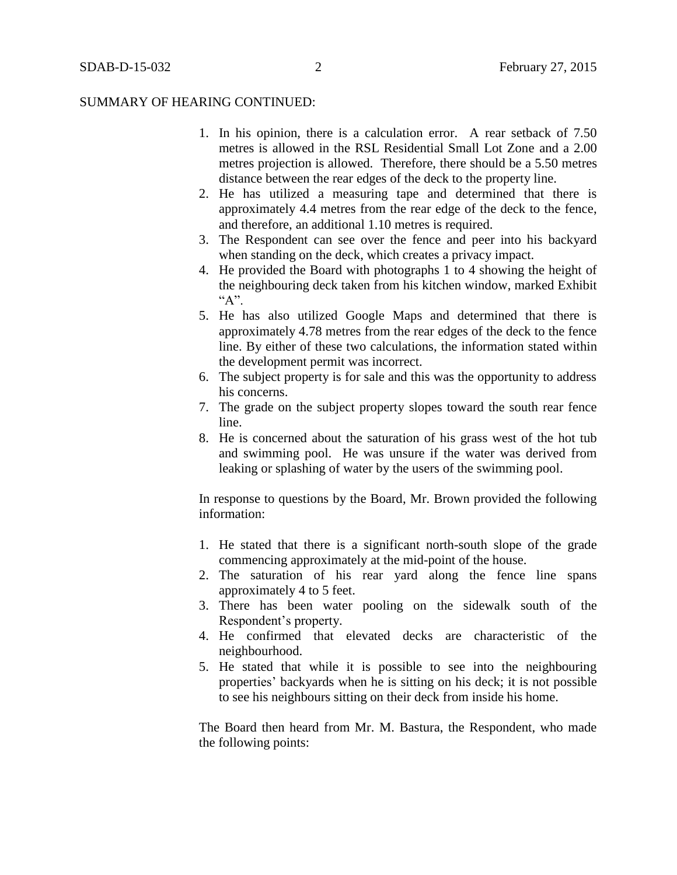- 1. In his opinion, there is a calculation error. A rear setback of 7.50 metres is allowed in the RSL Residential Small Lot Zone and a 2.00 metres projection is allowed. Therefore, there should be a 5.50 metres distance between the rear edges of the deck to the property line.
- 2. He has utilized a measuring tape and determined that there is approximately 4.4 metres from the rear edge of the deck to the fence, and therefore, an additional 1.10 metres is required.
- 3. The Respondent can see over the fence and peer into his backyard when standing on the deck, which creates a privacy impact.
- 4. He provided the Board with photographs 1 to 4 showing the height of the neighbouring deck taken from his kitchen window, marked Exhibit  $A$ ".
- 5. He has also utilized Google Maps and determined that there is approximately 4.78 metres from the rear edges of the deck to the fence line. By either of these two calculations, the information stated within the development permit was incorrect.
- 6. The subject property is for sale and this was the opportunity to address his concerns.
- 7. The grade on the subject property slopes toward the south rear fence line.
- 8. He is concerned about the saturation of his grass west of the hot tub and swimming pool. He was unsure if the water was derived from leaking or splashing of water by the users of the swimming pool.

In response to questions by the Board, Mr. Brown provided the following information:

- 1. He stated that there is a significant north-south slope of the grade commencing approximately at the mid-point of the house.
- 2. The saturation of his rear yard along the fence line spans approximately 4 to 5 feet.
- 3. There has been water pooling on the sidewalk south of the Respondent's property.
- 4. He confirmed that elevated decks are characteristic of the neighbourhood.
- 5. He stated that while it is possible to see into the neighbouring properties' backyards when he is sitting on his deck; it is not possible to see his neighbours sitting on their deck from inside his home.

The Board then heard from Mr. M. Bastura, the Respondent, who made the following points: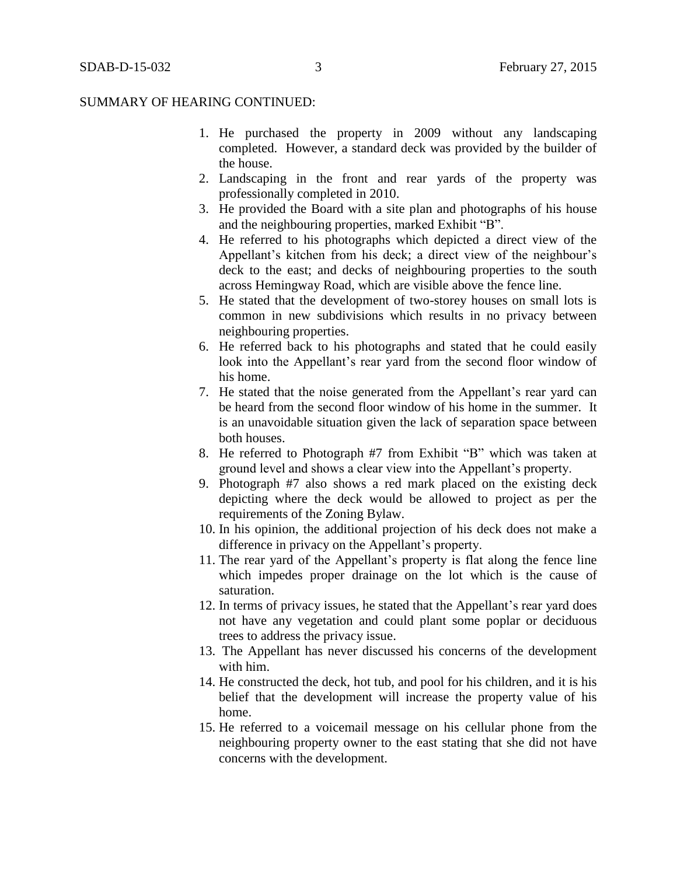- 1. He purchased the property in 2009 without any landscaping completed. However, a standard deck was provided by the builder of the house.
- 2. Landscaping in the front and rear yards of the property was professionally completed in 2010.
- 3. He provided the Board with a site plan and photographs of his house and the neighbouring properties, marked Exhibit "B".
- 4. He referred to his photographs which depicted a direct view of the Appellant's kitchen from his deck; a direct view of the neighbour's deck to the east; and decks of neighbouring properties to the south across Hemingway Road, which are visible above the fence line.
- 5. He stated that the development of two-storey houses on small lots is common in new subdivisions which results in no privacy between neighbouring properties.
- 6. He referred back to his photographs and stated that he could easily look into the Appellant's rear yard from the second floor window of his home.
- 7. He stated that the noise generated from the Appellant's rear yard can be heard from the second floor window of his home in the summer. It is an unavoidable situation given the lack of separation space between both houses.
- 8. He referred to Photograph #7 from Exhibit "B" which was taken at ground level and shows a clear view into the Appellant's property.
- 9. Photograph #7 also shows a red mark placed on the existing deck depicting where the deck would be allowed to project as per the requirements of the Zoning Bylaw.
- 10. In his opinion, the additional projection of his deck does not make a difference in privacy on the Appellant's property.
- 11. The rear yard of the Appellant's property is flat along the fence line which impedes proper drainage on the lot which is the cause of saturation.
- 12. In terms of privacy issues, he stated that the Appellant's rear yard does not have any vegetation and could plant some poplar or deciduous trees to address the privacy issue.
- 13. The Appellant has never discussed his concerns of the development with him.
- 14. He constructed the deck, hot tub, and pool for his children, and it is his belief that the development will increase the property value of his home.
- 15. He referred to a voicemail message on his cellular phone from the neighbouring property owner to the east stating that she did not have concerns with the development.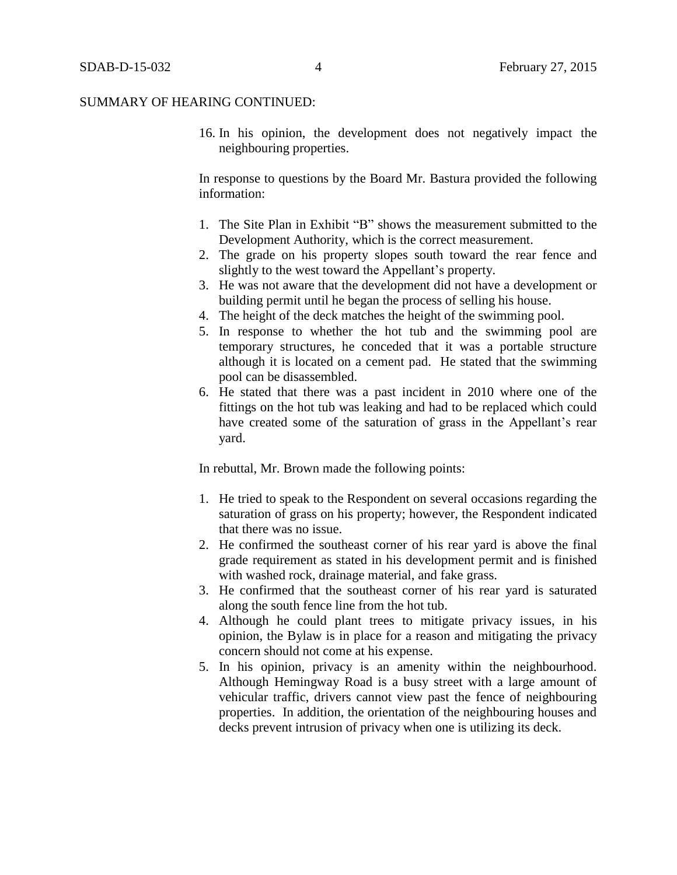16. In his opinion, the development does not negatively impact the neighbouring properties.

In response to questions by the Board Mr. Bastura provided the following information:

- 1. The Site Plan in Exhibit "B" shows the measurement submitted to the Development Authority, which is the correct measurement.
- 2. The grade on his property slopes south toward the rear fence and slightly to the west toward the Appellant's property.
- 3. He was not aware that the development did not have a development or building permit until he began the process of selling his house.
- 4. The height of the deck matches the height of the swimming pool.
- 5. In response to whether the hot tub and the swimming pool are temporary structures, he conceded that it was a portable structure although it is located on a cement pad. He stated that the swimming pool can be disassembled.
- 6. He stated that there was a past incident in 2010 where one of the fittings on the hot tub was leaking and had to be replaced which could have created some of the saturation of grass in the Appellant's rear yard.

In rebuttal, Mr. Brown made the following points:

- 1. He tried to speak to the Respondent on several occasions regarding the saturation of grass on his property; however, the Respondent indicated that there was no issue.
- 2. He confirmed the southeast corner of his rear yard is above the final grade requirement as stated in his development permit and is finished with washed rock, drainage material, and fake grass.
- 3. He confirmed that the southeast corner of his rear yard is saturated along the south fence line from the hot tub.
- 4. Although he could plant trees to mitigate privacy issues, in his opinion, the Bylaw is in place for a reason and mitigating the privacy concern should not come at his expense.
- 5. In his opinion, privacy is an amenity within the neighbourhood. Although Hemingway Road is a busy street with a large amount of vehicular traffic, drivers cannot view past the fence of neighbouring properties. In addition, the orientation of the neighbouring houses and decks prevent intrusion of privacy when one is utilizing its deck.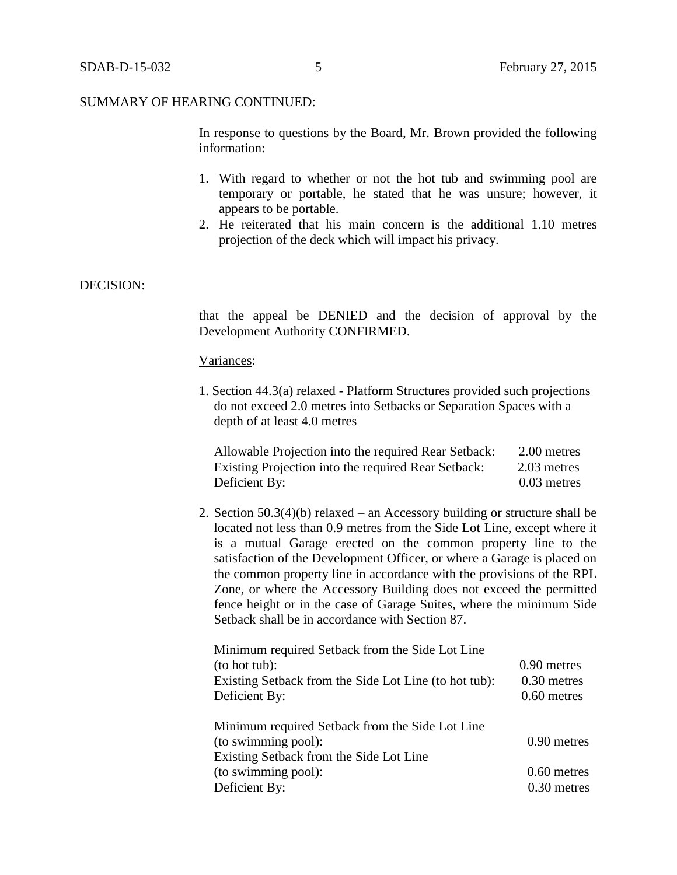In response to questions by the Board, Mr. Brown provided the following information:

- 1. With regard to whether or not the hot tub and swimming pool are temporary or portable, he stated that he was unsure; however, it appears to be portable.
- 2. He reiterated that his main concern is the additional 1.10 metres projection of the deck which will impact his privacy.

# DECISION:

that the appeal be DENIED and the decision of approval by the Development Authority CONFIRMED.

## Variances:

1. Section 44.3(a) relaxed - Platform Structures provided such projections do not exceed 2.0 metres into Setbacks or Separation Spaces with a depth of at least 4.0 metres

| Allowable Projection into the required Rear Setback: | 2.00 metres   |
|------------------------------------------------------|---------------|
| Existing Projection into the required Rear Setback:  | 2.03 metres   |
| Deficient By:                                        | $0.03$ metres |

2. Section 50.3(4)(b) relaxed – an Accessory building or structure shall be located not less than [0.9 me](javascript:void(0);)tres from the Side Lot Line, except where it is a mutual Garage erected on the common property line to the satisfaction of the Development Officer, or where a Garage is placed on the common property line in accordance with the provisions of the RPL Zone, or where the Accessory Building does not exceed the permitted fence height or in the case of Garage Suites, where the minimum Side Setback shall be in accordance with Section 87.

| Minimum required Setback from the Side Lot Line       |               |
|-------------------------------------------------------|---------------|
| (to hot tub):                                         | 0.90 metres   |
| Existing Setback from the Side Lot Line (to hot tub): | 0.30 metres   |
| Deficient By:                                         | $0.60$ metres |
| Minimum required Setback from the Side Lot Line       |               |
| (to swimming pool):                                   | 0.90 metres   |
| Existing Setback from the Side Lot Line               |               |
| (to swimming pool):                                   | $0.60$ metres |
| Deficient By:                                         | 0.30 metres   |
|                                                       |               |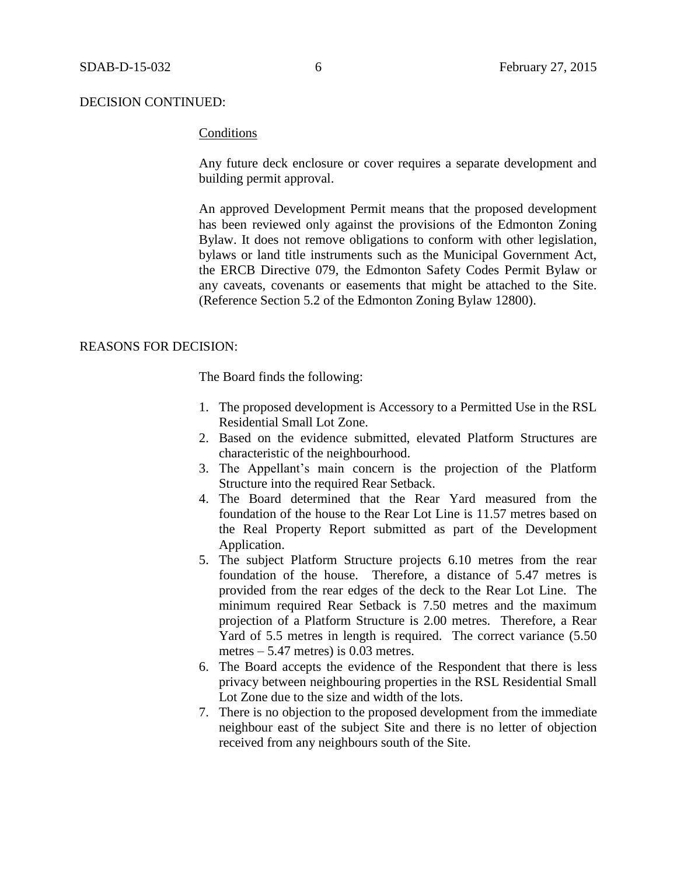## DECISION CONTINUED:

# **Conditions**

Any future deck enclosure or cover requires a separate development and building permit approval.

An approved Development Permit means that the proposed development has been reviewed only against the provisions of the Edmonton Zoning Bylaw. It does not remove obligations to conform with other legislation, bylaws or land title instruments such as the Municipal Government Act, the ERCB Directive 079, the Edmonton Safety Codes Permit Bylaw or any caveats, covenants or easements that might be attached to the Site. (Reference Section 5.2 of the Edmonton Zoning Bylaw 12800).

## REASONS FOR DECISION:

The Board finds the following:

- 1. The proposed development is Accessory to a Permitted Use in the RSL Residential Small Lot Zone.
- 2. Based on the evidence submitted, elevated Platform Structures are characteristic of the neighbourhood.
- 3. The Appellant's main concern is the projection of the Platform Structure into the required Rear Setback.
- 4. The Board determined that the Rear Yard measured from the foundation of the house to the Rear Lot Line is 11.57 metres based on the Real Property Report submitted as part of the Development Application.
- 5. The subject Platform Structure projects 6.10 metres from the rear foundation of the house. Therefore, a distance of 5.47 metres is provided from the rear edges of the deck to the Rear Lot Line. The minimum required Rear Setback is 7.50 metres and the maximum projection of a Platform Structure is 2.00 metres. Therefore, a Rear Yard of 5.5 metres in length is required. The correct variance (5.50 metres  $-5.47$  metres) is 0.03 metres.
- 6. The Board accepts the evidence of the Respondent that there is less privacy between neighbouring properties in the RSL Residential Small Lot Zone due to the size and width of the lots.
- 7. There is no objection to the proposed development from the immediate neighbour east of the subject Site and there is no letter of objection received from any neighbours south of the Site.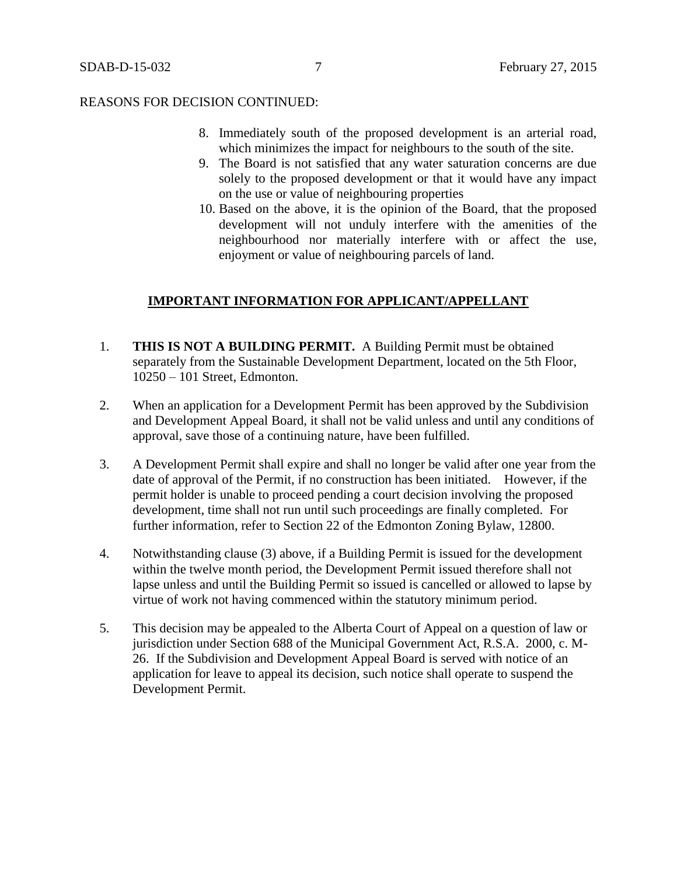## REASONS FOR DECISION CONTINUED:

- 8. Immediately south of the proposed development is an arterial road, which minimizes the impact for neighbours to the south of the site.
- 9. The Board is not satisfied that any water saturation concerns are due solely to the proposed development or that it would have any impact on the use or value of neighbouring properties
- 10. Based on the above, it is the opinion of the Board, that the proposed development will not unduly interfere with the amenities of the neighbourhood nor materially interfere with or affect the use, enjoyment or value of neighbouring parcels of land.

# **IMPORTANT INFORMATION FOR APPLICANT/APPELLANT**

- 1. **THIS IS NOT A BUILDING PERMIT.** A Building Permit must be obtained separately from the Sustainable Development Department, located on the 5th Floor, 10250 – 101 Street, Edmonton.
- 2. When an application for a Development Permit has been approved by the Subdivision and Development Appeal Board, it shall not be valid unless and until any conditions of approval, save those of a continuing nature, have been fulfilled.
- 3. A Development Permit shall expire and shall no longer be valid after one year from the date of approval of the Permit, if no construction has been initiated. However, if the permit holder is unable to proceed pending a court decision involving the proposed development, time shall not run until such proceedings are finally completed. For further information, refer to Section 22 of the Edmonton Zoning Bylaw, 12800.
- 4. Notwithstanding clause (3) above, if a Building Permit is issued for the development within the twelve month period, the Development Permit issued therefore shall not lapse unless and until the Building Permit so issued is cancelled or allowed to lapse by virtue of work not having commenced within the statutory minimum period.
- 5. This decision may be appealed to the Alberta Court of Appeal on a question of law or jurisdiction under Section 688 of the Municipal Government Act, R.S.A. 2000, c. M-26. If the Subdivision and Development Appeal Board is served with notice of an application for leave to appeal its decision, such notice shall operate to suspend the Development Permit.